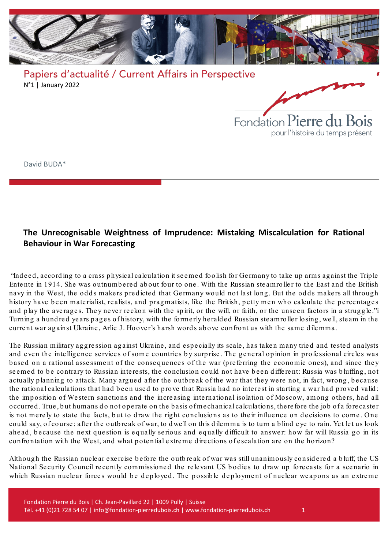

Fondation Pierre du Bois pour l'histoire du temps présent

David BUDA\*

## **The Unrecognisable Weightness of Imprudence: Mistaking Miscalculation for Rational Behaviour in War Forecasting**

"Ind e ed , accord ing to a crass p hysical calculation it seemed foolish for Germany to take up arms ag ainst the Trip le Entente in 1914. She was outnumbered about four to one. With the Russian steamroller to the East and the British navy in the West, the odds makers predicted that Germany would not last long. But the odds makers all through history have been materialist, realists, and pragmatists, like the British, petty men who calculate the percentages and play the averages. They never reckon with the spirit, or the will, or faith, or the unseen factors in a struggle.["i](#page-6-0) Turning a hundred years pages of history, with the formerly heralded Russian steamroller losing, well, steam in the current war against Ukraine, Arlie J. Hoover's harsh words above confront us with the same dilemma.

The Russian military aggression against Ukraine, and especially its scale, has taken many tried and tested analysts and even the intelligence services of some countries by surprise. The general opinion in professional circles was based on a rational assessment of the consequences of the war (preferring the economic ones), and since they seemed to be contrary to Russian interests, the conclusion could not have been different: Russia was bluffing, not actually planning to attack. Many argued after the outbreak of the war that they were not, in fact, wrong, because the rational calculations that had been used to prove that Russia had no interest in starting a war had proved valid: the imp osition of Western sanctions and the incre asing inte rnational isolation of Moscow, among others, had all occurred. True, but humans do not operate on the basis of mechanical calculations, there fore the job of a forecaster is not merely to state the facts, but to draw the right conclusions as to their influence on decisions to come. One could say, of course: after the outbreak of war, to dwell on this dilemma is to turn a blind eye to rain. Yet let us look ahead, because the next question is equally serious and equally difficult to answer: how far will Russia go in its confrontation with the West, and what potential extreme directions of escalation are on the horizon?

Although the Russian nuclear exercise before the outbreak of war was still unanimously considered a bluff, the US National Security Council recently commissioned the relevant US bodies to draw up forecasts for a scenario in which Russian nuclear forces would be deployed. The possible deployment of nuclear weapons as an extreme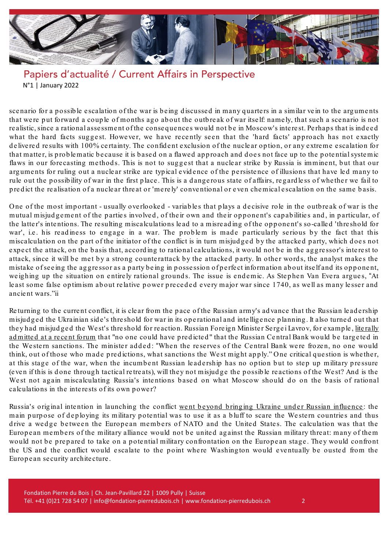

scenario for a possible escalation of the war is being discussed in many quarters in a similar vein to the arguments that were put forward a couple of months ago about the outbreak of war itself: namely, that such a scenario is not realistic, since a rational assessment of the consequences would not be in Moscow's interest. Perhaps that is indeed what the hard facts suggest. However, we have recently seen that the 'hard facts' approach has not exactly de livered results with 100% certainty. The confident exclusion of the nuclear option, or any extreme escalation for that matter, is p rob le matic because it is based on a flawed approach and does not face up to the p ote ntialsyste mic flaws in our forecasting methods. This is not to suggest that a nuclear strike by Russia is imminent, but that our arguments for ruling out a nuclear strike are typical evidence of the persistence of illusions that have led many to rule out the possibility of war in the first place. This is a dangerous state of affairs, regardless of whether we fail to p re d ict the re alisation of a nucle ar threat or 'me re ly' conve ntional or e ven che mical e scalation on the same b asis.

One of the most important - usually overlooked - variables that plays a decisive role in the outbreak of war is the mutual misjud gement of the parties involved, of their own and their opponent's capabilities and, in particular, of the latte r's inte ntions. The re sulting miscalculations le ad to a misre ad ing of the opponent's so-calle d 'thre shold for war', i.e. his readiness to engage in a war. The problem is made particularly serious by the fact that this miscalculation on the part of the initiator of the conflict is in turn misjud ge d b y the attacke d p arty, which does not expect the attack, on the basis that, according to rational calculations, it would not be in the aggressor's interest to attack, since it will be met by a strong counterattack by the attacked party. In other words, the analyst makes the mistake of seeing the aggressor as a party being in possession of perfect information about itself and its opponent, weighing up the situation on entirely rational grounds. The issue is endemic. As Stephen Van Evera argues, "At least some false op timism about relative power preceded every major war since 1740, as well as many lesser and ancie nt wars.["ii](#page-6-1)

Re turning to the current conflict, it is cle ar from the pace of the Russian army's ad vance that the Russian le ad e rship misjud g ed the Ukrainian sid e 's thre shold for war in its op e rational and inte llig e nce p lanning . It also turned out that they had misjudged the West's thre shold for reaction. Russian Foreign Minister Sergei Lavrov, for example, literally [ad mitted](https://www.politico.eu/article/lavrov-admits-no-one-could-have-predicted-scale-of-western-sanctions/) at a recent forum that "no one could have predicted" that the Russian Central Bank would be targeted in the Western sanctions. The minister added: "When the reserves of the Central Bank were frozen, no one would think, out of those who made predictions, what sanctions the West might apply." One critical question is whether, at this stage of the war, when the incumbent Russian leadership has no option but to step up military pressure (e ve n if this is done through tactical re tre ats), will they not misjud ge the p ossib le re actions of the West? And is the West not again miscalculating Russia's intentions based on what Moscow should do on the basis of rational calculations in the inte rests of its own power?

Russia's original intention in launching the conflict went beyond bringing Ukraine under Russian influence: the main purpose of deploying its military potential was to use it as a bluff to scare the Western countries and thus drive a wedge between the European members of NATO and the United States. The calculation was that the European members of the military alliance would not be united against the Russian military threat: many of them would not be prepared to take on a potential military confrontation on the European stage. They would confront the US and the conflict would escalate to the point where Washington would eventually be ousted from the Europe an se curity archite cture.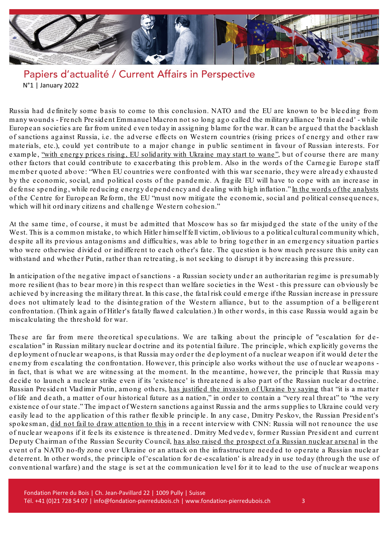

Russia had definitely some basis to come to this conclusion. NATO and the EU are known to be bleeding from many wounds - French Pre sid e nt Emmanue l Macron not so long ago called the military alliance 'b rain dead' - while European societies are far from united even today in assigning blame for the war. It can be argued that the backlash of sanctions against Russia, i.e. the adverse effects on Western countries (rising prices of energy and other raw materials, etc.), could yet contribute to a major change in public sentiment in favour of Russian interests. For example, "with energy prices rising, EU solidarity with Ukraine may start to wane", but of course there are many other factors that could contribute to exacerbating this problem. Also in the words of the Carnegie Europe staff member quoted above: "When EU countries were confronted with this war scenario, they were already exhausted by the economic, social, and political costs of the pandemic. A fragile EU will have to cope with an increase in de fense spending, while reducing energy dependency and dealing with high inflation." In the words of the [analysts](https://www.cer.eu/insights/russias-war-ukraine-worse-west) of the Centre for European Reform, the EU "must now mitigate the economic, social and political consequences, which will hit ordinary citizens and challenge Western cohesion."

At the same time, of course, it must be admitted that Moscow has so far misjudged the state of the unity of the West. This is a common mistake, to which Hitler himself fell victim, ob livious to a political cultural community which, despite all its previous antagonisms and difficulties, was able to bring together in an emergency situation parties who were otherwise divided or indifferent to each other's fate. The question is how much pressure this unity can withstand and whether Putin, rather than retreating, is not seeking to disrupt it by increasing this pressure.

In anticipation of the negative impact of sanctions - a Russian society under an authoritarian regime is presumably more resilient (has to bear more) in this respect than we lfare societies in the West - this pressure can obviously be achieved by increasing the military threat. In this case, the fatal risk could emerge if the Russian increase in pressure does not ultimately lead to the disintegration of the Western alliance, but to the assumption of a belligerent confrontation. (Think again of Hitler's fatally flawed calculation.) In other words, in this case Russia would again be miscalculating the thre shold for war.

These are far from mere theoretical speculations. We are talking about the principle of "escalation for deescalation" in Russian military nuclear doctrine and its potential failure. The principle, which explicitly governs the d e p loyme nt of nucle ar weapons, is that Russia may order the d e p loyme nt of a nucle ar weapon if it would deter the enemy from escalating the confrontation. However, this principle also works without the use of nuclear weapons in fact, that is what we are witnessing at the moment. In the meantime, however, the principle that Russia may decide to launch a nuclear strike even if its 'existence' is threatened is also part of the Russian nuclear doctrine. Russian President Vladimir Putin, among others, has justified the [invasion](https://www.bloomberg.com/news/articles/2022-02-24/full-transcript-vladimir-putin-s-televised-address-to-russia-on-ukraine-feb-24) of Ukraine by saying that "it is a matter of life and death, a matter of our historical future as a nation," in order to contain a "very real threat" to "the very e xiste nce of our state ." The imp act of Western sanctions ag ainst Russia and the arms sup p lies to Ukraine could ve ry e asily lead to the app lication of this rather flexible principle. In any case, Dmitry Peskov, the Russian President's spokesman, did not fail to draw attention to this in a recent interview with CNN: Russia will not renounce the use of nuclear weapons if it feels its existence is threatened. Dmitry Medvedev, former Russian President and current Deputy Chairman of the Russian Security Council, has also raised the [prospect](https://www.theguardian.com/world/2022/mar/26/russia-reasserts-right-to-use-nuclear-weapons-in-ukraine-putin) of a Russian nuclear arsenal in the event of a NATO no-fly zone over Ukraine or an attack on the infrastructure needed to operate a Russian nuclear deterrent. In other words, the principle of 'escalation for de-escalation' is already in use today (through the use of conve ntional warfare) and the stage is set at the communication le ve l for it to le ad to the use of nucle ar weapons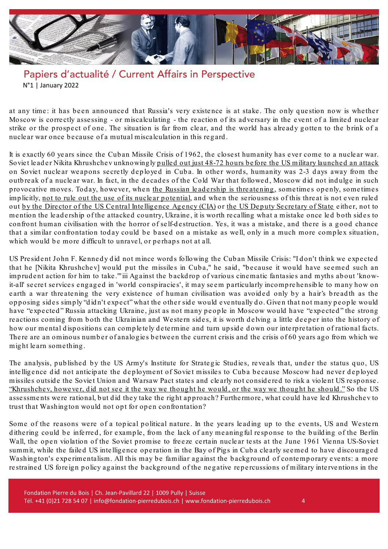

at any time: it has been announced that Russia's very existence is at stake. The only question now is whether Moscow is corre ctly asse ssing - or miscalculating - the re action of its ad ve rsary in the e ve nt of a limite d nucle ar strike or the prospect of one. The situation is far from clear, and the world has already gotten to the brink of a nucle ar war once because of a mutual miscalculation in this regard .

It is exactly 60 ye ars since the Cuban Missile Crisis of 1962, the closest humanity has e ver come to a nucle ar war. Soviet leader Nikita Khrushchev unknowing ly pulled out just 48-72 hours before the US military launched an attack on Soviet nuclear weapons secretly deployed in Cuba. In other words, humanity was 2-3 days away from the outbreak of a nuclear war. In fact, in the decades of the Cold War that followed, Moscow did not indulge in such provocative moves. Today, however, when the Russian leadership is threatening, sometimes openly, sometimes implicitly, not to rule out the use of its nuclear potential, and when the seriousness of this threat is not even ruled out by the Director of the US Central Intelligence Agency (CIA) or the US Deputy Secretary of State either, not to mention the leadership of the attacked country, Ukraine, it is worth recalling what a mistake once led both sides to confront human civilisation with the horror of self-destruction. Yes, it was a mistake, and there is a good chance that a similar confrontation today could be based on a mistake as well, only in a much more complex situation, which would be more difficult to unravel, or perhaps not at all.

US President John F. Kennedy did not mince words following the Cuban Missile Crisis: "I don't think we expected that he [Nikita Khrushchev] would put the missiles in Cuba," he said, "because it would have seemed such an imp rud e nt action for him to take ."'[iii](#page-6-2) Ag ainst the b ackd rop of various cine matic fantasie s and myths about 'knowit-all' secret services engaged in 'world conspiracies', it may seem particularly incomprehensible to many how on earth a war threatening the very existence of human civilisation was avoided only by a hair's breadth as the opposing sides simply "didn't expect" what the other side would eventually do. Given that not many people would have "expected" Russia attacking Ukraine, just as not many people in Moscow would have "expected" the strong reactions coming from both the Ukrainian and Western sides, it is worth delving a little deeper into the history of how our mental dispositions can completely determine and turn upside down our interpretation of rational facts. There are an ominous number of analogies between the current crisis and the crisis of 60 years ago from which we mig ht le arn some thing .

The analysis, published by the US Army's Institute for Strategic Studies, reveals that, under the status quo, US inte lligence did not anticipate the deployment of Soviet missiles to Cuba because Moscow had never deployed missiles outside the Soviet Union and Warsaw Pact states and clearly not considered to risk a violent US response. ["Khrushchev,](https://press.armywarcollege.edu/cgi/viewcontent.cgi?article=1351&context=monographs) however, did not see it the way we thought he would, or the way we thought he should." So the US assessments were rational, but did they take the right approach? Furthermore, what could have led Khrushchev to trust that Washing ton would not opt for open confrontation?

Some of the reasons were of a topical political nature. In the years leading up to the events, US and Western dithering could be inferred, for example, from the lack of any meaning ful response to the building of the Berlin Wall, the open violation of the Soviet promise to freeze certain nuclear tests at the June 1961 Vienna US-Soviet summit, while the failed US intelligence operation in the Bay of Pigs in Cuba clearly seemed to have discouraged Washing ton's experimentalism. All this may be familiar against the background of contemporary events: a more re strained US foreign policy against the background of the negative repercussions of military interventions in the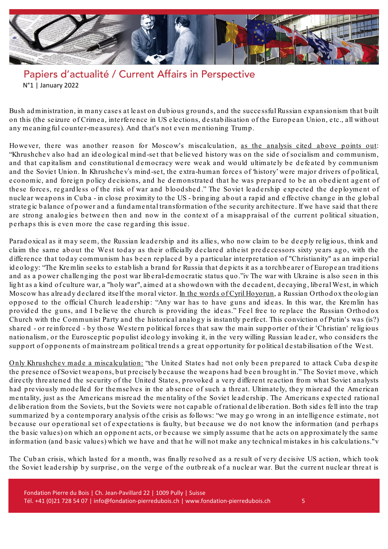

Bush ad ministration, in many cases at least on dubious grounds, and the successful Russian expansionism that built on this (the se izure of Crime a, inte rfe re nce in US e le ctions, d e stab ilisation of the Europ ean Union, etc., all without any meaning ful counter-measures). And that's not even mentioning Trump.

However, there was another reason for Moscow's miscalculation, as the [analysis](https://press.armywarcollege.edu/cgi/viewcontent.cgi?article=1351&context=monographs) cited above points out: "Khrushchev also had an id e olog ical mind -set that b e lie ved history was on the sid e of socialism and communism, and that capitalism and constitutional democracy were weak and would ultimately be defeated by communism and the Soviet Union. In Khrushchev's mind-set, the extra-human forces of 'history' were major drivers of political, e conomic, and foreign policy decisions, and he demonstrated that he was prepared to be an obedient agent of these forces, regardless of the risk of war and blood shed." The Soviet leadership expected the deployment of nucle ar weapons in Cuba - in close p roximity to the US - b ring ing about a rap id and e ffe ctive change in the g lob al strategic balance of power and a fund amental transformation of the security architecture. If we have said that there are strong analogies between then and now in the context of a misappraisal of the current political situation, perhaps this is even more the case regarding this issue.

Paradoxical as it may seem, the Russian leadership and its allies, who now claim to be deeply religious, think and claim the same about the West today as their officially declared atheist predecessors sixty years ago, with the d iffe re nce that today communism has been re p lace d b y a p articular interp re tation of "Christianity" as an imp e rial ideology: "The Kremlin seeks to establish a brand for Russia that depicts it as a torchbearer of European traditions and as a power challenging the post war liberal-democratic status quo.["iv](#page-6-3) The war with Ukraine is also seen in this light as a kind of culture war, a "holy war", aimed at a showdown with the decadent, decaying, liberal West, in which Moscow has already declared itself the moral victor. In the words of Cyril [Hoyorun,](https://www.washingtonpost.com/world/2022/04/19/patriarch-kirill-orthodox-church-russia-ukraine/) a Russian Orthodox theologian opposed to the official Church leadership: "Any war has to have guns and ideas. In this war, the Kremlin has provided the guns, and I believe the church is providing the ideas." Feel free to replace the Russian Orthodox Church with the Communist Party and the historical analog y is instantly pe rfe ct. This conviction of Putin's was (is?) shared - or reinforced - by those Western political forces that saw the main supporter of their 'Christian' religious nationalism, or the Eurosceptic populist ideology invoking it, in the very willing Russian leader, who considers the support of opponents of mainstream political trends a great opportunity for political destabilisation of the West.

Only Khrushchev made a [miscalculation:](https://www.siwps.org/wp-content/uploads/Robert-Jervis-The-Cuban-Missle-Crisis.pdf) "the United States had not only been prepared to attack Cuba despite the presence of Soviet weapons, but precisely because the weapons had been brought in." The Soviet move, which directly threatened the security of the United States, provoked a very different reaction from what Soviet analysts had previously modelled for themselves in the absence of such a threat. Ultimately, they misread the American mentality, just as the Americans misread the mentality of the Soviet leadership. The Americans expected rational de liberation from the Soviets, but the Soviets were not capable of rational deliberation. Both sides fell into the trap summarized by a contemporary analysis of the crisis as follows: "we may go wrong in an intelligence estimate, not because our operational set of expectations is faulty, but because we do not know the information (and perhaps the basic values) on which an opponent acts, or because we simply assume that he acts on approximately the same information (and b asic value s) which we have and that he will not make any te chnical mistake s in his calculations."[v](#page-6-4)

The Cuban crisis, which lasted for a month, was finally resolved as a result of very decisive US action, which took the Soviet leadership by surprise, on the verge of the outbreak of a nuclear war. But the current nuclear threat is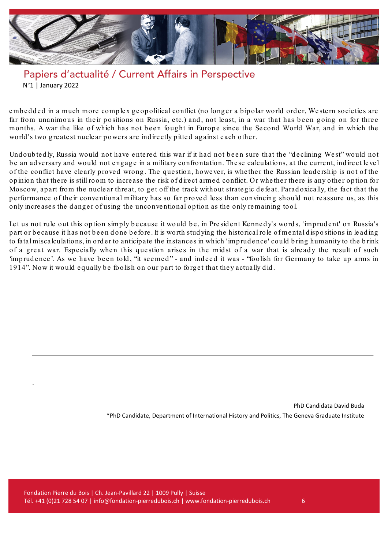

embedded in a much more complex geopolitical conflict (no longer a bipolar world order, Western societies are far from unanimous in their positions on Russia, etc.) and, not least, in a war that has been going on for three months. A war the like of which has not been fought in Europe since the Second World War, and in which the world 's two greatest nucle ar powers are ind ire ctly p itte d ag ainst each other.

Und oub ted ly, Russia would not have entered this war if it had not been sure that the "d e clining West" would not be an adversary and would not engage in a military confrontation. These calculations, at the current, indirect level of the conflict have cle arly p roved wrong. The que stion, howeve r, is whether the Russian le ad e rship is not of the op inion that there is still room to increase the risk of d irect armed conflict. O r whether there is any other op tion for Moscow, apart from the nuclear threat, to get off the track without strategic defeat. Paradoxically, the fact that the performance of their conventional military has so far proved less than convincing should not reassure us, as this only incre ases the danger of using the unconventional op tion as the only re maining tool.

Let us not rule out this option simply because it would be, in President Kennedy's words, 'imprudent' on Russia's part or because it has not been done b e fore . It is worth stud ying the historical role of mental d isp ositions in le ad ing to fatal miscalculations, in order to anticip ate the instance s in which 'imp rud e nce ' could b ring humanity to the b rink of a great war. Especially when this question arises in the midst of a war that is already the result of such 'imprudence'. As we have been told, "it seemed" - and indeed it was - "foolish for Germany to take up arms in 1914". Now it would equally be foolish on our part to forget that they actually did.

> PhD Candidata David Buda \*PhD Candidate, Department of International History and Politics, The Geneva Graduate Institute

.